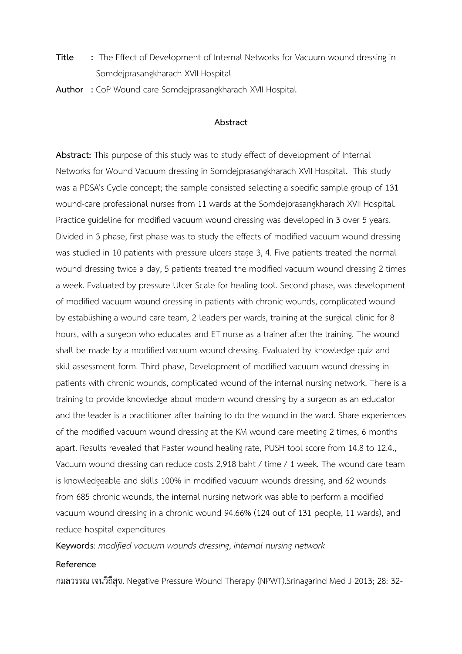- **Title** : The Effect of Development of Internal Networks for Vacuum wound dressing in Somdejprasangkharach XVII Hospital
- **Author :** CoP Wound care Somdejprasangkharach XVII Hospital

## **Abstract**

**Abstract:** This purpose of this study was to study effect of development of Internal Networks for Wound Vacuum dressing in Somdejprasangkharach XVII Hospital. This study was a PDSA's Cycle concept; the sample consisted selecting a specific sample group of 131 wound-care professional nurses from 11 wards at the Somdejprasangkharach XVII Hospital. Practice guideline for modified vacuum wound dressing was developed in 3 over 5 years. Divided in 3 phase, first phase was to study the effects of modified vacuum wound dressing was studied in 10 patients with pressure ulcers stage 3, 4. Five patients treated the normal wound dressing twice a day, 5 patients treated the modified vacuum wound dressing 2 times a week. Evaluated by pressure Ulcer Scale for healing tool. Second phase, was development of modified vacuum wound dressing in patients with chronic wounds, complicated wound by establishing a wound care team, 2 leaders per wards, training at the surgical clinic for 8 hours, with a surgeon who educates and ET nurse as a trainer after the training. The wound shall be made by a modified vacuum wound dressing. Evaluated by knowledge quiz and skill assessment form. Third phase, Development of modified vacuum wound dressing in patients with chronic wounds, complicated wound of the internal nursing network. There is a training to provide knowledge about modern wound dressing by a surgeon as an educator and the leader is a practitioner after training to do the wound in the ward. Share experiences of the modified vacuum wound dressing at the KM wound care meeting 2 times, 6 months apart. R*e*sults revealed that Faster wound healing rate, PUSH tool score from 14.8 to 12.4., Vacuum wound dressing can reduce costs 2,918 baht / time / 1 week. The wound care team is knowledgeable and skills 100% in modified vacuum wounds dressing, and 62 wounds from 685 chronic wounds, the internal nursing network was able to perform a modified vacuum wound dressing in a chronic wound 94.66% (124 out of 131 people, 11 wards), and reduce hospital expenditures

**Keywords**: *modified vacuum wounds dressing*, *internal nursing network*

## **Reference**

กมลวรรณ เจนวิถีสุข. Negative Pressure Wound Therapy (NPWT).Srinagarind Med J 2013; 28: 32-